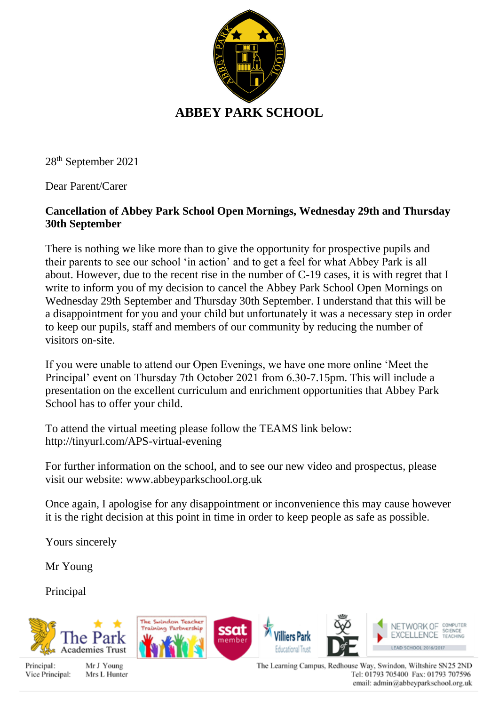

28th September 2021

Dear Parent/Carer

## **Cancellation of Abbey Park School Open Mornings, Wednesday 29th and Thursday 30th September**

There is nothing we like more than to give the opportunity for prospective pupils and their parents to see our school 'in action' and to get a feel for what Abbey Park is all about. However, due to the recent rise in the number of C-19 cases, it is with regret that I write to inform you of my decision to cancel the Abbey Park School Open Mornings on Wednesday 29th September and Thursday 30th September. I understand that this will be a disappointment for you and your child but unfortunately it was a necessary step in order to keep our pupils, staff and members of our community by reducing the number of visitors on-site.

If you were unable to attend our Open Evenings, we have one more online 'Meet the Principal' event on Thursday 7th October 2021 from 6.30-7.15pm. This will include a presentation on the excellent curriculum and enrichment opportunities that Abbey Park School has to offer your child.

To attend the virtual meeting please follow the TEAMS link below: http://tinyurl.com/APS-virtual-evening

For further information on the school, and to see our new video and prospectus, please visit our website: www.abbeyparkschool.org.uk

Once again, I apologise for any disappointment or inconvenience this may cause however it is the right decision at this point in time in order to keep people as safe as possible.

Yours sincerely

Mr Young

Principal



Principal: Vice Principal:

Mr J Young Mrs L Hunter The Learning Campus, Redhouse Way, Swindon, Wiltshire SN25 2ND Tel: 01793 705400 Fax: 01793 707596 email: admin@abbeyparkschool.org.uk